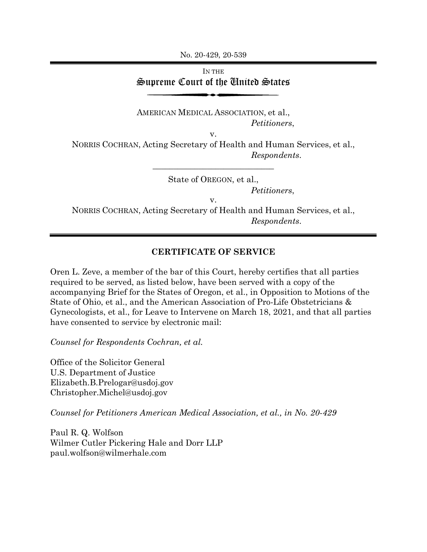No. 20-429, 20-539

## IN THE Supreme Court of the United States

AMERICAN MEDICAL ASSOCIATION, et al., *Petitioners*,

v.

NORRIS COCHRAN, Acting Secretary of Health and Human Services, et al., *Respondents*.

\_\_\_\_\_\_\_\_\_\_\_\_\_\_\_\_\_\_\_\_\_\_\_\_\_\_\_\_\_

State of OREGON, et al.,

*Petitioners*,

v.

NORRIS COCHRAN, Acting Secretary of Health and Human Services, et al., *Respondents*.

## **CERTIFICATE OF SERVICE**

Oren L. Zeve, a member of the bar of this Court, hereby certifies that all parties required to be served, as listed below, have been served with a copy of the accompanying Brief for the States of Oregon, et al., in Opposition to Motions of the State of Ohio, et al., and the American Association of Pro-Life Obstetricians & Gynecologists, et al., for Leave to Intervene on March 18, 2021, and that all parties have consented to service by electronic mail:

*Counsel for Respondents Cochran, et al.* 

Office of the Solicitor General U.S. Department of Justice Elizabeth.B.Prelogar@usdoj.gov Christopher.Michel@usdoj.gov

*Counsel for Petitioners American Medical Association, et al., in No. 20-429*

Paul R. Q. Wolfson Wilmer Cutler Pickering Hale and Dorr LLP paul.wolfson@wilmerhale.com